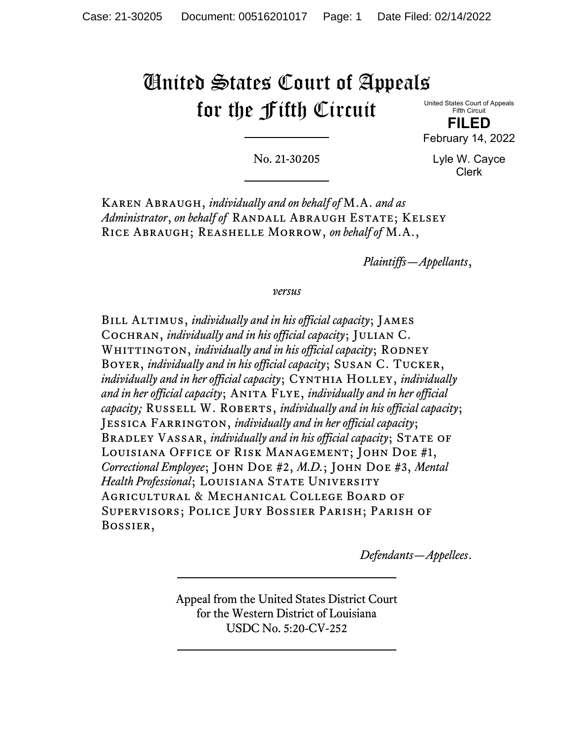# United States Court of Appeals for the Fifth Circuit

United States Court of Appeals Fifth Circuit

**FILED** February 14, 2022

No. 21-30205

Lyle W. Cayce Clerk

Karen Abraugh, *individually and on behalf of* M.A. *and as Administrator*, *on behalf of* RANDALL ABRAUGH ESTATE; KELSEY Rice Abraugh; Reashelle Morrow, *on behalf of* M.A.,

*Plaintiffs—Appellants*,

*versus*

Bill Altimus, *individually and in his official capacity*; James Cochran, *individually and in his official capacity*; Julian C. WHITTINGTON, *individually and in his official capacity*; RODNEY Boyer, *individually and in his official capacity*; Susan C. Tucker, *individually and in her official capacity*; Cynthia Holley, *individually and in her official capacity*; Anita Flye, *individually and in her official capacity;* Russell W. Roberts, *individually and in his official capacity*; Jessica Farrington, *individually and in her official capacity*; BRADLEY VASSAR, *individually and in his official capacity*; STATE OF Louisiana Office of Risk Management; John Doe #1, *Correctional Employee*; John Doe #2, *M.D.*; John Doe #3, *Mental*  Health Professional; LOUISIANA STATE UNIVERSITY Agricultural & Mechanical College Board of Supervisors; Police Jury Bossier Parish; Parish of Bossier,

*Defendants—Appellees*.

Appeal from the United States District Court for the Western District of Louisiana USDC No. 5:20-CV-252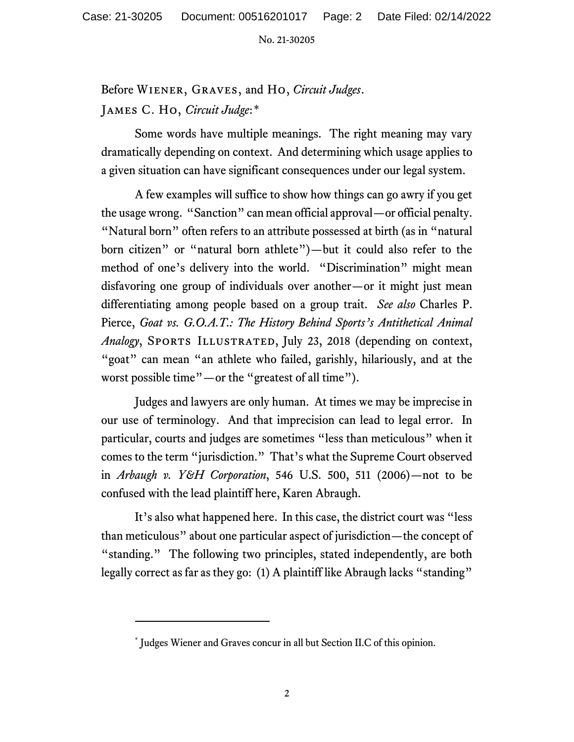Before Wiener, Graves, and Ho, *Circuit Judges*. James C. Ho, *Circuit Judge*:[\\*](#page-1-0)

Some words have multiple meanings. The right meaning may vary dramatically depending on context. And determining which usage applies to a given situation can have significant consequences under our legal system.

A few examples will suffice to show how things can go awry if you get the usage wrong. "Sanction" can mean official approval—or official penalty. "Natural born" often refers to an attribute possessed at birth (as in "natural born citizen" or "natural born athlete")—but it could also refer to the method of one's delivery into the world. "Discrimination" might mean disfavoring one group of individuals over another—or it might just mean differentiating among people based on a group trait. *See also* Charles P. Pierce, *Goat vs. G.O.A.T.: The History Behind Sports's Antithetical Animal Analogy*, SPORTS ILLUSTRATED, July 23, 2018 (depending on context, "goat" can mean "an athlete who failed, garishly, hilariously, and at the worst possible time"—or the "greatest of all time").

Judges and lawyers are only human. At times we may be imprecise in our use of terminology. And that imprecision can lead to legal error. In particular, courts and judges are sometimes "less than meticulous" when it comes to the term "jurisdiction." That's what the Supreme Court observed in *Arbaugh v. Y&H Corporation*, 546 U.S. 500, 511 (2006)—not to be confused with the lead plaintiff here, Karen Abraugh.

It's also what happened here. In this case, the district court was "less than meticulous" about one particular aspect of jurisdiction—the concept of "standing." The following two principles, stated independently, are both legally correct as far as they go: (1) A plaintiff like Abraugh lacks "standing"

<span id="page-1-0"></span><sup>\*</sup> Judges Wiener and Graves concur in all but Section II.C of this opinion.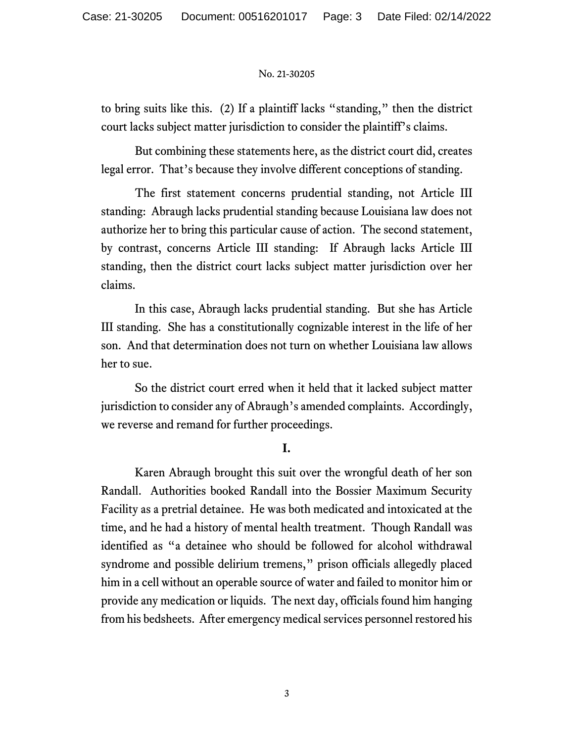to bring suits like this. (2) If a plaintiff lacks "standing," then the district court lacks subject matter jurisdiction to consider the plaintiff's claims.

But combining these statements here, as the district court did, creates legal error. That's because they involve different conceptions of standing.

The first statement concerns prudential standing, not Article III standing: Abraugh lacks prudential standing because Louisiana law does not authorize her to bring this particular cause of action. The second statement, by contrast, concerns Article III standing: If Abraugh lacks Article III standing, then the district court lacks subject matter jurisdiction over her claims.

In this case, Abraugh lacks prudential standing. But she has Article III standing. She has a constitutionally cognizable interest in the life of her son. And that determination does not turn on whether Louisiana law allows her to sue.

So the district court erred when it held that it lacked subject matter jurisdiction to consider any of Abraugh's amended complaints. Accordingly, we reverse and remand for further proceedings.

## **I.**

Karen Abraugh brought this suit over the wrongful death of her son Randall. Authorities booked Randall into the Bossier Maximum Security Facility as a pretrial detainee. He was both medicated and intoxicated at the time, and he had a history of mental health treatment. Though Randall was identified as "a detainee who should be followed for alcohol withdrawal syndrome and possible delirium tremens," prison officials allegedly placed him in a cell without an operable source of water and failed to monitor him or provide any medication or liquids. The next day, officials found him hanging from his bedsheets. After emergency medical services personnel restored his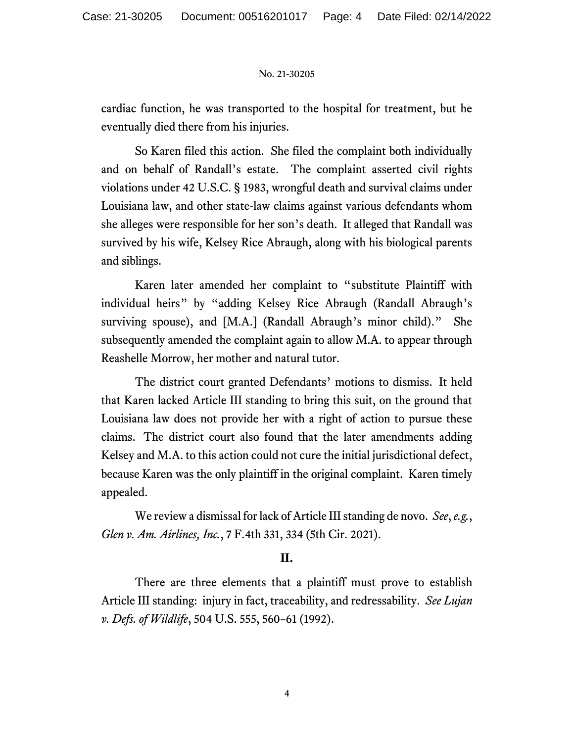cardiac function, he was transported to the hospital for treatment, but he eventually died there from his injuries.

So Karen filed this action. She filed the complaint both individually and on behalf of Randall's estate. The complaint asserted civil rights violations under 42 U.S.C. § 1983, wrongful death and survival claims under Louisiana law, and other state-law claims against various defendants whom she alleges were responsible for her son's death. It alleged that Randall was survived by his wife, Kelsey Rice Abraugh, along with his biological parents and siblings.

Karen later amended her complaint to "substitute Plaintiff with individual heirs" by "adding Kelsey Rice Abraugh (Randall Abraugh's surviving spouse), and [M.A.] (Randall Abraugh's minor child)." She subsequently amended the complaint again to allow M.A. to appear through Reashelle Morrow, her mother and natural tutor.

The district court granted Defendants' motions to dismiss. It held that Karen lacked Article III standing to bring this suit, on the ground that Louisiana law does not provide her with a right of action to pursue these claims. The district court also found that the later amendments adding Kelsey and M.A. to this action could not cure the initial jurisdictional defect, because Karen was the only plaintiff in the original complaint. Karen timely appealed.

We review a dismissal for lack of Article III standing de novo. *See*,*e.g.*, *Glen v. Am. Airlines, Inc.*, 7 F.4th 331, 334 (5th Cir. 2021).

## **II.**

There are three elements that a plaintiff must prove to establish Article III standing: injury in fact, traceability, and redressability. *See Lujan v. Defs. of Wildlife*, 504 U.S. 555, 560–61 (1992).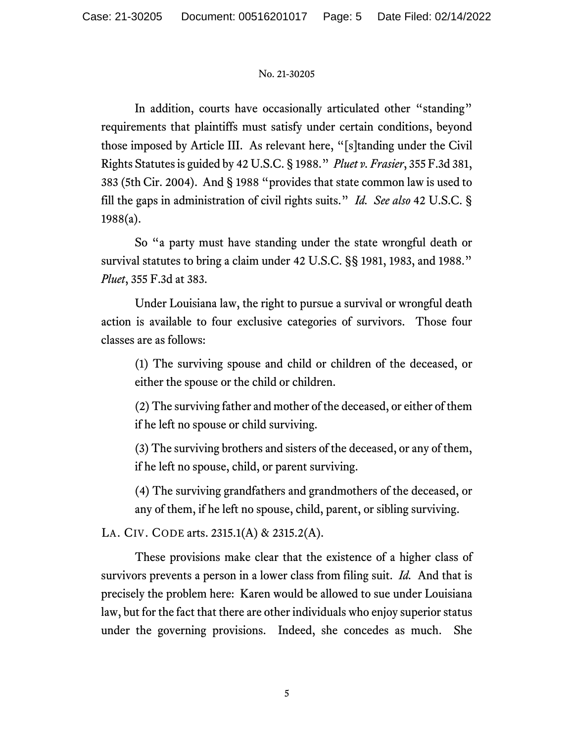In addition, courts have occasionally articulated other "standing" requirements that plaintiffs must satisfy under certain conditions, beyond those imposed by Article III. As relevant here, "[s]tanding under the Civil Rights Statutes is guided by 42 U.S.C. § 1988." *Pluet v. Frasier*, 355 F.3d 381, 383 (5th Cir. 2004). And § 1988 "provides that state common law is used to fill the gaps in administration of civil rights suits." *Id. See also* 42 U.S.C. § 1988(a).

So "a party must have standing under the state wrongful death or survival statutes to bring a claim under 42 U.S.C. §§ 1981, 1983, and 1988." *Pluet*, 355 F.3d at 383.

Under Louisiana law, the right to pursue a survival or wrongful death action is available to four exclusive categories of survivors. Those four classes are as follows:

(1) The surviving spouse and child or children of the deceased, or either the spouse or the child or children.

(2) The surviving father and mother of the deceased, or either of them if he left no spouse or child surviving.

(3) The surviving brothers and sisters of the deceased, or any of them, if he left no spouse, child, or parent surviving.

(4) The surviving grandfathers and grandmothers of the deceased, or any of them, if he left no spouse, child, parent, or sibling surviving.

LA. CIV. CODE arts. 2315.1(A) & 2315.2(A).

These provisions make clear that the existence of a higher class of survivors prevents a person in a lower class from filing suit. *Id.* And that is precisely the problem here: Karen would be allowed to sue under Louisiana law, but for the fact that there are other individuals who enjoy superior status under the governing provisions. Indeed, she concedes as much. She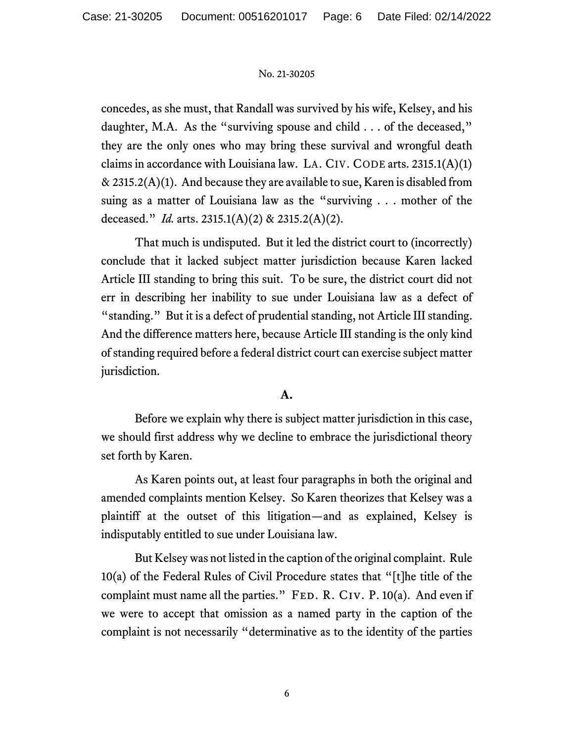concedes, as she must, that Randall was survived by his wife, Kelsey, and his daughter, M.A. As the "surviving spouse and child . . . of the deceased," they are the only ones who may bring these survival and wrongful death claims in accordance with Louisiana law. LA. CIV. CODE arts.  $2315.1(A)(1)$  $\&$  2315.2(A)(1). And because they are available to sue, Karen is disabled from suing as a matter of Louisiana law as the "surviving . . . mother of the deceased." *Id.* arts. 2315.1(A)(2) & 2315.2(A)(2).

That much is undisputed. But it led the district court to (incorrectly) conclude that it lacked subject matter jurisdiction because Karen lacked Article III standing to bring this suit. To be sure, the district court did not err in describing her inability to sue under Louisiana law as a defect of "standing." But it is a defect of prudential standing, not Article III standing. And the difference matters here, because Article III standing is the only kind of standing required before a federal district court can exercise subject matter jurisdiction.

# **A.**

Before we explain why there is subject matter jurisdiction in this case, we should first address why we decline to embrace the jurisdictional theory set forth by Karen.

As Karen points out, at least four paragraphs in both the original and amended complaints mention Kelsey. So Karen theorizes that Kelsey was a plaintiff at the outset of this litigation—and as explained, Kelsey is indisputably entitled to sue under Louisiana law.

But Kelsey was not listed in the caption of the original complaint. Rule 10(a) of the Federal Rules of Civil Procedure states that "[t]he title of the complaint must name all the parties." FED. R. CIV. P.  $10(a)$ . And even if we were to accept that omission as a named party in the caption of the complaint is not necessarily "determinative as to the identity of the parties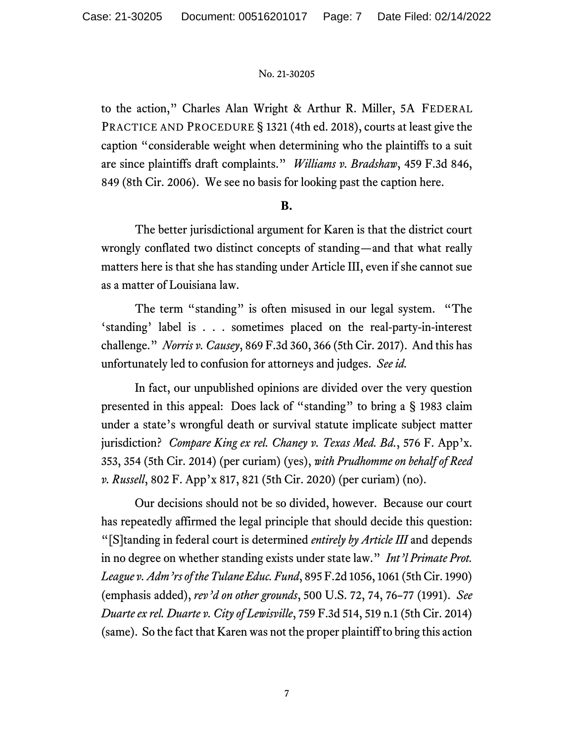to the action," Charles Alan Wright & Arthur R. Miller, 5A FEDERAL PRACTICE AND PROCEDURE § 1321 (4th ed. 2018), courts at least give the caption "considerable weight when determining who the plaintiffs to a suit are since plaintiffs draft complaints." *Williams v. Bradshaw*, 459 F.3d 846, 849 (8th Cir. 2006). We see no basis for looking past the caption here.

# **B.**

The better jurisdictional argument for Karen is that the district court wrongly conflated two distinct concepts of standing—and that what really matters here is that she has standing under Article III, even if she cannot sue as a matter of Louisiana law.

The term "standing" is often misused in our legal system. "The 'standing' label is . . . sometimes placed on the real-party-in-interest challenge." *Norris v. Causey*, 869 F.3d 360, 366 (5th Cir. 2017). And this has unfortunately led to confusion for attorneys and judges. *See id.*

In fact, our unpublished opinions are divided over the very question presented in this appeal: Does lack of "standing" to bring a § 1983 claim under a state's wrongful death or survival statute implicate subject matter jurisdiction? *Compare King ex rel. Chaney v. Texas Med. Bd.*, 576 F. App'x. 353, 354 (5th Cir. 2014) (per curiam) (yes), *with Prudhomme on behalf of Reed v. Russell*, 802 F. App'x 817, 821 (5th Cir. 2020) (per curiam) (no).

Our decisions should not be so divided, however. Because our court has repeatedly affirmed the legal principle that should decide this question: "[S]tanding in federal court is determined *entirely by Article III* and depends in no degree on whether standing exists under state law." *Int'l Primate Prot. League v. Adm'rs of the Tulane Educ. Fund*, 895 F.2d 1056, 1061 (5th Cir. 1990) (emphasis added), *rev'd on other grounds*, 500 U.S. 72, 74, 76–77 (1991). *See Duarte ex rel. Duarte v. City of Lewisville*, 759 F.3d 514, 519 n.1 (5th Cir. 2014) (same). So the fact that Karen was not the proper plaintiff to bring this action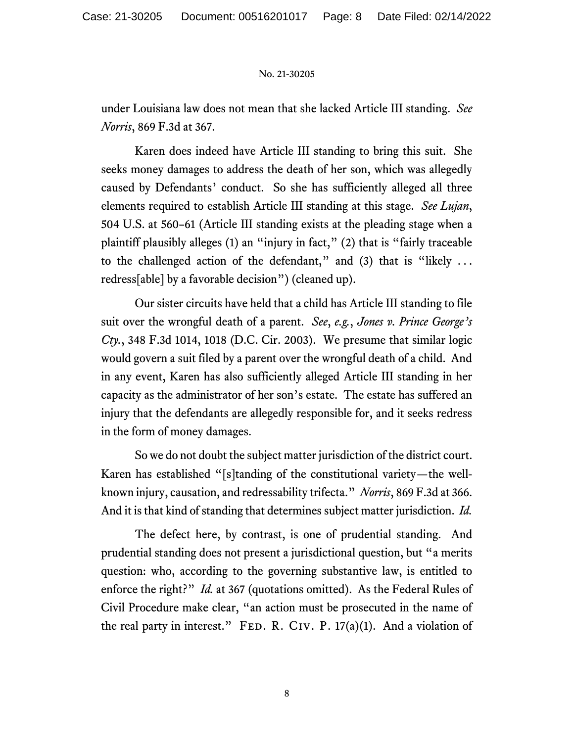under Louisiana law does not mean that she lacked Article III standing. *See Norris*, 869 F.3d at 367.

Karen does indeed have Article III standing to bring this suit. She seeks money damages to address the death of her son, which was allegedly caused by Defendants' conduct. So she has sufficiently alleged all three elements required to establish Article III standing at this stage. *See Lujan*, 504 U.S. at 560–61 (Article III standing exists at the pleading stage when a plaintiff plausibly alleges (1) an "injury in fact," (2) that is "fairly traceable to the challenged action of the defendant," and (3) that is "likely ... redress[able] by a favorable decision") (cleaned up).

Our sister circuits have held that a child has Article III standing to file suit over the wrongful death of a parent. *See*, *e.g.*, *Jones v. Prince George's Cty.*, 348 F.3d 1014, 1018 (D.C. Cir. 2003). We presume that similar logic would govern a suit filed by a parent over the wrongful death of a child. And in any event, Karen has also sufficiently alleged Article III standing in her capacity as the administrator of her son's estate. The estate has suffered an injury that the defendants are allegedly responsible for, and it seeks redress in the form of money damages.

So we do not doubt the subject matter jurisdiction of the district court. Karen has established "[s]tanding of the constitutional variety—the wellknown injury, causation, and redressability trifecta." *Norris*, 869 F.3d at 366. And it is that kind of standing that determines subject matter jurisdiction. *Id.*

The defect here, by contrast, is one of prudential standing. And prudential standing does not present a jurisdictional question, but "a merits question: who, according to the governing substantive law, is entitled to enforce the right?" *Id.* at 367 (quotations omitted). As the Federal Rules of Civil Procedure make clear, "an action must be prosecuted in the name of the real party in interest." FED. R. CIV. P.  $17(a)(1)$ . And a violation of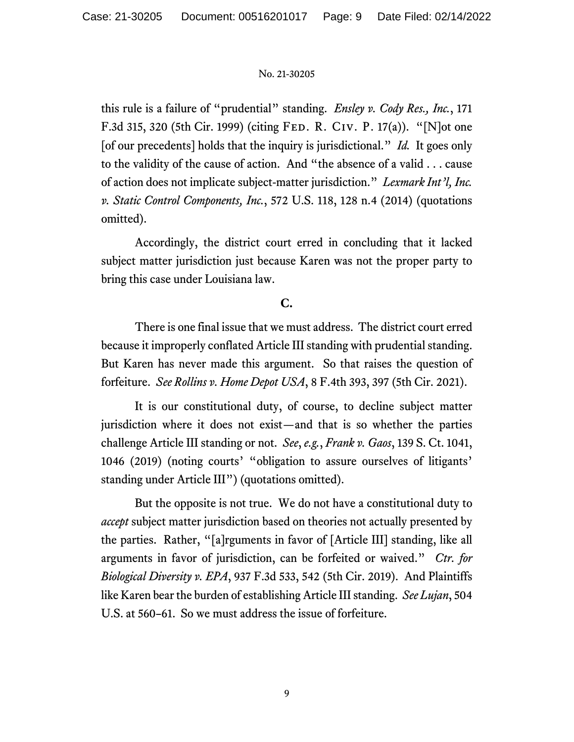this rule is a failure of "prudential" standing. *Ensley v. Cody Res., Inc.*, 171 F.3d 315, 320 (5th Cir. 1999) (citing Fed. R. Civ. P. 17(a)). "[N]ot one [of our precedents] holds that the inquiry is jurisdictional." *Id.* It goes only to the validity of the cause of action. And "the absence of a valid . . . cause of action does not implicate subject-matter jurisdiction." *Lexmark Int'l, Inc. v. Static Control Components, Inc.*, 572 U.S. 118, 128 n.4 (2014) (quotations omitted).

Accordingly, the district court erred in concluding that it lacked subject matter jurisdiction just because Karen was not the proper party to bring this case under Louisiana law.

# **C.**

There is one final issue that we must address. The district court erred because it improperly conflated Article III standing with prudential standing. But Karen has never made this argument. So that raises the question of forfeiture. *See Rollins v. Home Depot USA*, 8 F.4th 393, 397 (5th Cir. 2021).

It is our constitutional duty, of course, to decline subject matter jurisdiction where it does not exist—and that is so whether the parties challenge Article III standing or not. *See*, *e.g.*, *Frank v. Gaos*, 139 S. Ct. 1041, 1046 (2019) (noting courts' "obligation to assure ourselves of litigants' standing under Article III") (quotations omitted).

But the opposite is not true. We do not have a constitutional duty to *accept* subject matter jurisdiction based on theories not actually presented by the parties. Rather, "[a]rguments in favor of [Article III] standing, like all arguments in favor of jurisdiction, can be forfeited or waived." *Ctr. for Biological Diversity v. EPA*, 937 F.3d 533, 542 (5th Cir. 2019). And Plaintiffs like Karen bear the burden of establishing Article III standing. *See Lujan*, 504 U.S. at 560–61. So we must address the issue of forfeiture.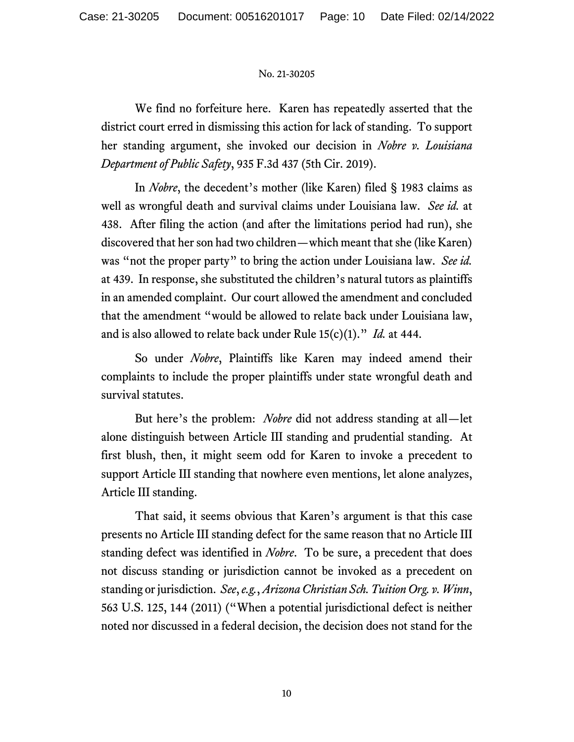We find no forfeiture here. Karen has repeatedly asserted that the district court erred in dismissing this action for lack of standing. To support her standing argument, she invoked our decision in *Nobre v. Louisiana Department of Public Safety*, 935 F.3d 437 (5th Cir. 2019).

In *Nobre*, the decedent's mother (like Karen) filed § 1983 claims as well as wrongful death and survival claims under Louisiana law. *See id.* at 438. After filing the action (and after the limitations period had run), she discovered that her son had two children—which meant that she (like Karen) was "not the proper party" to bring the action under Louisiana law. *See id.*  at 439. In response, she substituted the children's natural tutors as plaintiffs in an amended complaint. Our court allowed the amendment and concluded that the amendment "would be allowed to relate back under Louisiana law, and is also allowed to relate back under Rule 15(c)(1)." *Id.* at 444.

So under *Nobre*, Plaintiffs like Karen may indeed amend their complaints to include the proper plaintiffs under state wrongful death and survival statutes.

But here's the problem: *Nobre* did not address standing at all—let alone distinguish between Article III standing and prudential standing. At first blush, then, it might seem odd for Karen to invoke a precedent to support Article III standing that nowhere even mentions, let alone analyzes, Article III standing.

That said, it seems obvious that Karen's argument is that this case presents no Article III standing defect for the same reason that no Article III standing defect was identified in *Nobre*. To be sure, a precedent that does not discuss standing or jurisdiction cannot be invoked as a precedent on standing or jurisdiction. *See*, *e.g.*, *Arizona Christian Sch. Tuition Org. v. Winn*, 563 U.S. 125, 144 (2011) ("When a potential jurisdictional defect is neither noted nor discussed in a federal decision, the decision does not stand for the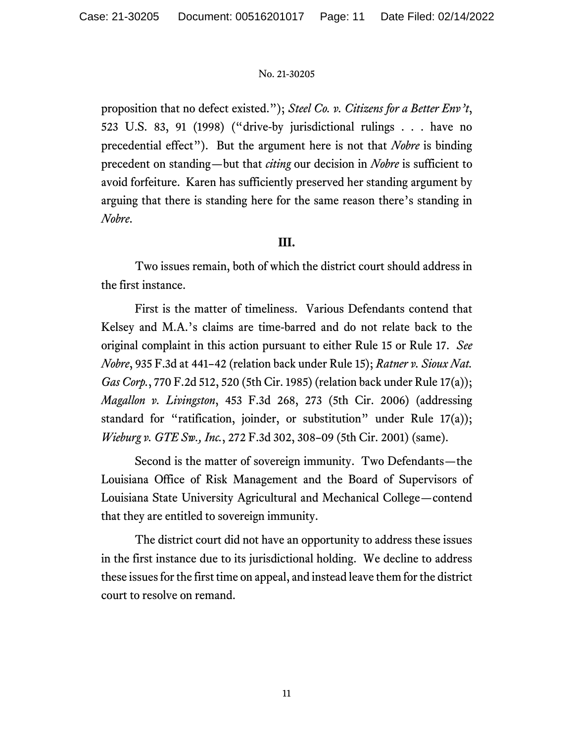proposition that no defect existed."); *Steel Co. v. Citizens for a Better Env't*, 523 U.S. 83, 91 (1998) ("drive-by jurisdictional rulings . . . have no precedential effect"). But the argument here is not that *Nobre* is binding precedent on standing—but that *citing* our decision in *Nobre* is sufficient to avoid forfeiture. Karen has sufficiently preserved her standing argument by arguing that there is standing here for the same reason there's standing in *Nobre*.

## **III.**

Two issues remain, both of which the district court should address in the first instance.

First is the matter of timeliness. Various Defendants contend that Kelsey and M.A.'s claims are time-barred and do not relate back to the original complaint in this action pursuant to either Rule 15 or Rule 17. *See Nobre*, 935 F.3d at 441–42 (relation back under Rule 15); *Ratner v. Sioux Nat. Gas Corp.*, 770 F.2d 512, 520 (5th Cir. 1985) (relation back under Rule 17(a)); *Magallon v. Livingston*, 453 F.3d 268, 273 (5th Cir. 2006) (addressing standard for "ratification, joinder, or substitution" under Rule 17(a)); *Wieburg v. GTE Sw., Inc.*, 272 F.3d 302, 308–09 (5th Cir. 2001) (same).

Second is the matter of sovereign immunity. Two Defendants—the Louisiana Office of Risk Management and the Board of Supervisors of Louisiana State University Agricultural and Mechanical College—contend that they are entitled to sovereign immunity.

The district court did not have an opportunity to address these issues in the first instance due to its jurisdictional holding. We decline to address these issues for the first time on appeal, and instead leave them for the district court to resolve on remand.